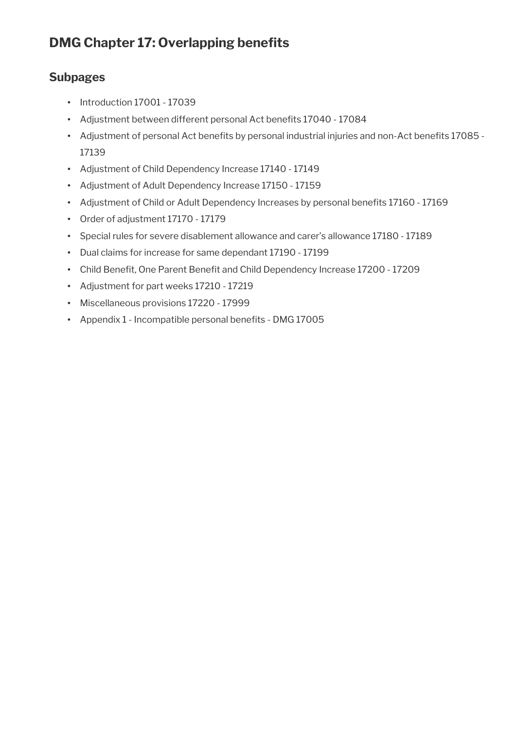# **DMG Chapter 17: Overlapping benefits**

## **Subpages**

- Introduction 17001 17039
- Adjustment between different personal Act benefits 17040 17084
- Adjustment of personal Act benefits by personal industrial injuries and non-Act benefits 17085 -17139
- Adjustment of Child Dependency Increase 17140 17149
- Adjustment of Adult Dependency Increase 17150 17159
- Adjustment of Child or Adult Dependency Increases by personal benefits 17160 17169
- Order of adjustment 17170 17179
- Special rules for severe disablement allowance and carer's allowance 17180 17189
- Dual claims for increase for same dependant 17190 17199
- Child Beneft, One Parent Beneft and Child Dependency Increase 17200 17209
- Adjustment for part weeks 17210 17219
- Miscellaneous provisions 17220 17999
- Appendix 1 Incompatible personal benefits DMG 17005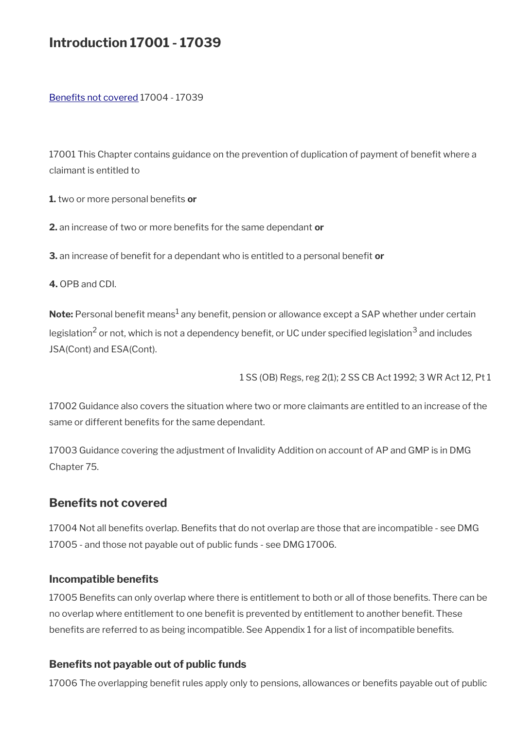# **Introduction 17001 - 17039**

Benefits not covered 17004 - 17039

17001 This Chapter contains guidance on the prevention of duplication of payment of benefit where a claimant is entitled to

**1.** two or more personal benefits or

**2.** an increase of two or more benefts for the same dependant **or**

**3.** an increase of beneft for a dependant who is entitled to a personal beneft **or**

**4.** OPB and CDI.

**Note:** Personal benefit means<sup>1</sup> any benefit, pension or allowance except a SAP whether under certain legislation<sup>2</sup> or not, which is not a dependency benefit, or UC under specified legislation<sup>3</sup> and includes JSA(Cont) and ESA(Cont).

1 SS (OB) Regs, reg 2(1); 2 SS CB Act 1992; 3 WR Act 12, Pt 1

17002 Guidance also covers the situation where two or more claimants are entitled to an increase of the same or different benefits for the same dependant.

17003 Guidance covering the adjustment of Invalidity Addition on account of AP and GMP is in DMG Chapter 75.

### <span id="page-1-0"></span>**Benefits not covered**

17004 Not all benefits overlap. Benefits that do not overlap are those that are incompatible - see DMG 17005 - and those not payable out of public funds - see DMG 17006.

#### **Incompatible benefits**

17005 Benefits can only overlap where there is entitlement to both or all of those benefits. There can be no overlap where entitlement to one beneft is prevented by entitlement to another beneft. These benefits are referred to as being incompatible. See Appendix 1 for a list of incompatible benefits.

#### **Benefts not payable out of public funds**

17006 The overlapping benefit rules apply only to pensions, allowances or benefits payable out of public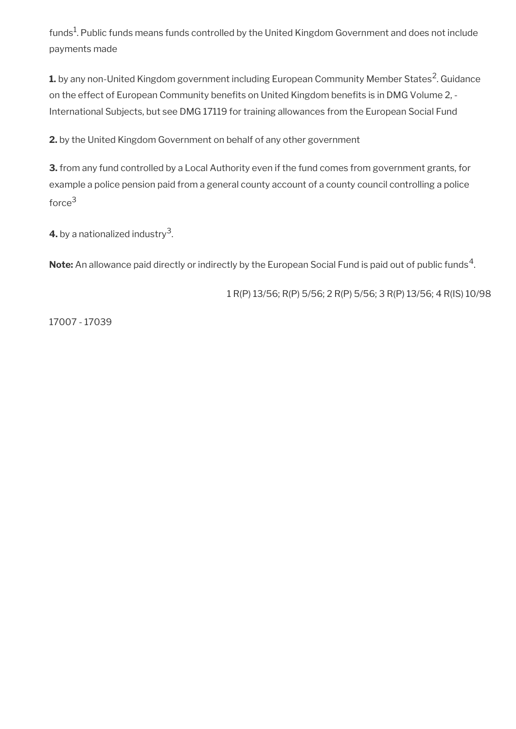funds<sup>1</sup>. Public funds means funds controlled by the United Kingdom Government and does not include payments made

**1.** by any non-United Kingdom government including European Community Member States<sup>2</sup>. Guidance on the effect of European Community benefits on United Kingdom benefits is in DMG Volume 2, -International Subjects, but see DMG 17119 for training allowances from the European Social Fund

**2.** by the United Kingdom Government on behalf of any other government

**3.** from any fund controlled by a Local Authority even if the fund comes from government grants, for example a police pension paid from a general county account of a county council controlling a police force<sup>3</sup>

**4.** by a nationalized industry $^3$ .

 $\mathsf{Note:}$  An allowance paid directly or indirectly by the European Social Fund is paid out of public funds  $^4$ .

1 R(P) 13/56; R(P) 5/56; 2 R(P) 5/56; 3 R(P) 13/56; 4 R(IS) 10/98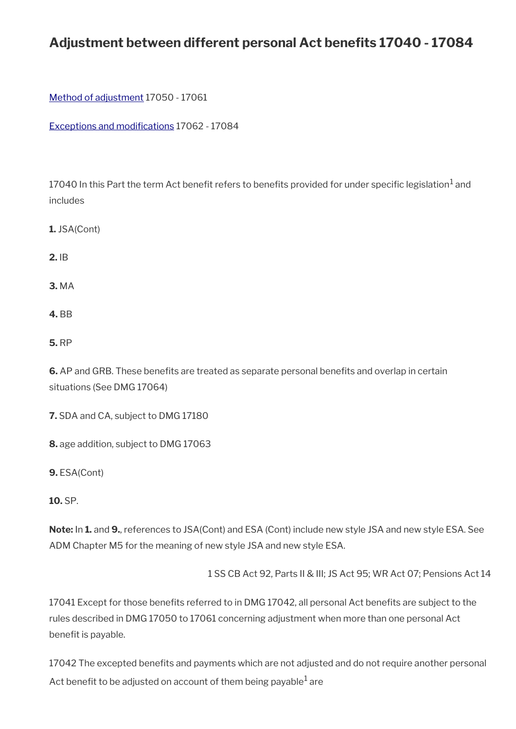# **Adjustment between different personal Act benefts 17040 - 17084**

#### [Method of adjustment](#page-4-0) 17050 - 17061

[Exceptions and modifcations](#page-5-0) 17062 - 17084

17040 In this Part the term Act benefit refers to benefits provided for under specific legislation $^{\text{1}}$  and includes

**1.** JSA(Cont)

**2.** IB

**3.** MA

**4.** BB

**5.** RP

**6.** AP and GRB. These benefits are treated as separate personal benefits and overlap in certain situations (See DMG 17064)

**7.** SDA and CA, subject to DMG 17180

**8.** age addition, subject to DMG 17063

**9.** ESA(Cont)

**10.** SP.

**Note:** In **1.** and **9.**, references to JSA(Cont) and ESA (Cont) include new style JSA and new style ESA. See ADM Chapter M5 for the meaning of new style JSA and new style ESA.

1 SS CB Act 92, Parts II & III; JS Act 95; WR Act 07; Pensions Act 14

17041 Except for those benefits referred to in DMG 17042, all personal Act benefits are subject to the rules described in DMG 17050 to 17061 concerning adjustment when more than one personal Act benefit is payable.

17042 The excepted benefits and payments which are not adjusted and do not require another personal Act benefit to be adjusted on account of them being payable $^{\rm 1}$  are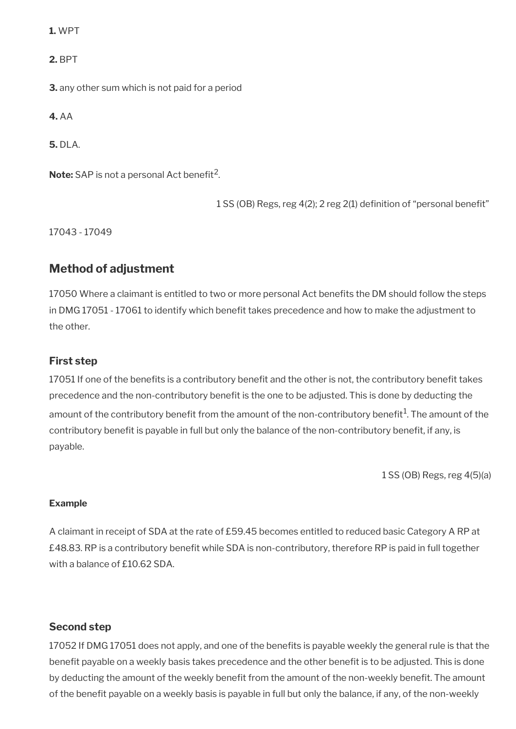**1.** WPT

**2.** BPT

**3.** any other sum which is not paid for a period

**4.** AA

**5.** DLA.

**Note:** SAP is not a personal Act benefit<sup>2</sup>.

1 SS (OB) Regs, reg 4(2); 2 reg 2(1) defnition of "personal beneft"

17043 - 17049

### <span id="page-4-0"></span>**Method of adjustment**

17050 Where a claimant is entitled to two or more personal Act benefts the DM should follow the steps in DMG 17051 - 17061 to identify which benefit takes precedence and how to make the adjustment to the other.

#### **First step**

17051 If one of the benefts is a contributory beneft and the other is not, the contributory beneft takes precedence and the non-contributory benefit is the one to be adjusted. This is done by deducting the amount of the contributory benefit from the amount of the non-contributory benefit $^1$ . The amount of the contributory benefit is payable in full but only the balance of the non-contributory benefit, if any, is payable.

1 SS (OB) Regs, reg 4(5)(a)

#### **Example**

A claimant in receipt of SDA at the rate of £59.45 becomes entitled to reduced basic Category A RP at £48.83. RP is a contributory benefit while SDA is non-contributory, therefore RP is paid in full together with a balance of £10.62 SDA.

#### **Second step**

17052 If DMG 17051 does not apply, and one of the benefts is payable weekly the general rule is that the benefit payable on a weekly basis takes precedence and the other benefit is to be adjusted. This is done by deducting the amount of the weekly benefit from the amount of the non-weekly benefit. The amount of the benefit payable on a weekly basis is payable in full but only the balance, if any, of the non-weekly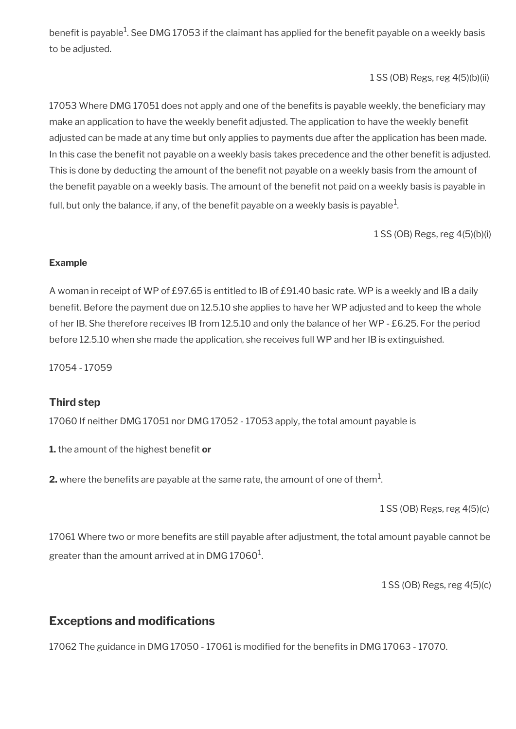benefit is payable $^1$ . See DMG 17053 if the claimant has applied for the benefit payable on a weekly basis to be adjusted.

1 SS (OB) Regs, reg 4(5)(b)(ii)

17053 Where DMG 17051 does not apply and one of the benefits is payable weekly, the beneficiary may make an application to have the weekly benefit adjusted. The application to have the weekly benefit adjusted can be made at any time but only applies to payments due after the application has been made. In this case the benefit not payable on a weekly basis takes precedence and the other benefit is adjusted. This is done by deducting the amount of the benefit not payable on a weekly basis from the amount of the benefit payable on a weekly basis. The amount of the benefit not paid on a weekly basis is payable in full, but only the balance, if any, of the benefit payable on a weekly basis is payable $^1\!$ 

1 SS (OB) Regs, reg 4(5)(b)(i)

#### **Example**

A woman in receipt of WP of £97.65 is entitled to IB of £91.40 basic rate. WP is a weekly and IB a daily benefit. Before the payment due on 12.5.10 she applies to have her WP adjusted and to keep the whole of her IB. She therefore receives IB from 12.5.10 and only the balance of her WP - £6.25. For the period before 12.5.10 when she made the application, she receives full WP and her IB is extinguished.

17054 - 17059

#### **Third step**

17060 If neither DMG 17051 nor DMG 17052 - 17053 apply, the total amount payable is

**1.** the amount of the highest benefit or

**2.** where the benefits are payable at the same rate, the amount of one of them $^1$ .

1 SS (OB) Regs, reg 4(5)(c)

17061 Where two or more benefits are still payable after adjustment, the total amount payable cannot be greater than the amount arrived at in DMG 17060 $^{\rm 1}$ .

1 SS (OB) Regs, reg 4(5)(c)

#### <span id="page-5-0"></span>**Exceptions and modifications**

17062 The guidance in DMG 17050 - 17061 is modifed for the benefts in DMG 17063 - 17070.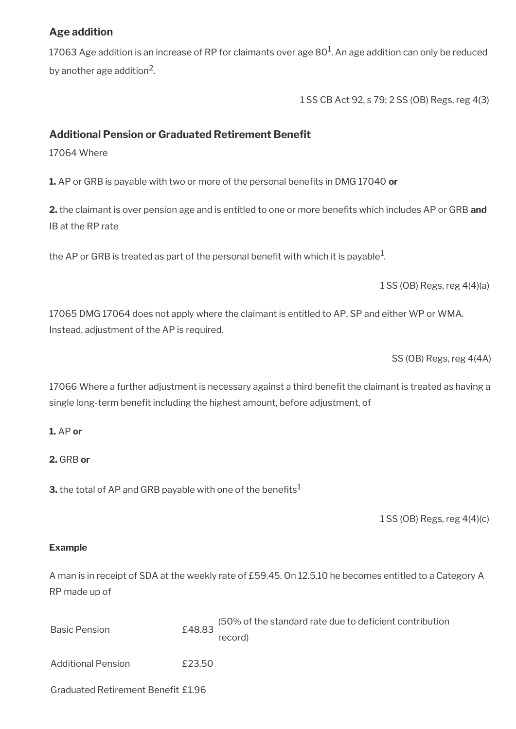### **Age addition**

17063 Age addition is an increase of RP for claimants over age 80 $^{\rm 1}$ . An age addition can only be reduced by another age addition $^2$ .

1 SS CB Act 92, s 79; 2 SS (OB) Regs, reg 4(3)

#### **Additional Pension or Graduated Retirement Beneft**

17064 Where

**1.** AP or GRB is payable with two or more of the personal benefts in DMG 17040 **or**

**2.** the claimant is over pension age and is entitled to one or more benefts which includes AP or GRB **and** IB at the RP rate

the AP or GRB is treated as part of the personal benefit with which it is payable $^1\!$ 

1 SS (OB) Regs, reg 4(4)(a)

17065 DMG 17064 does not apply where the claimant is entitled to AP, SP and either WP or WMA. Instead, adjustment of the AP is required.

SS (OB) Regs, reg 4(4A)

17066 Where a further adjustment is necessary against a third benefit the claimant is treated as having a single long-term benefit including the highest amount, before adjustment, of

#### **1.** AP **or**

#### **2.** GRB **or**

**3.** the total of AP and GRB payable with one of the benefits<sup>1</sup>

1 SS (OB) Regs, reg 4(4)(c)

#### **Example**

A man is in receipt of SDA at the weekly rate of £59.45. On 12.5.10 he becomes entitled to a Category A RP made up of

| Basic Pension      | £48.83 | (50% of the standard rate due to deficient contribution<br>record) |
|--------------------|--------|--------------------------------------------------------------------|
| Additional Pension | £23.50 |                                                                    |

Graduated Retirement Benefit £1.96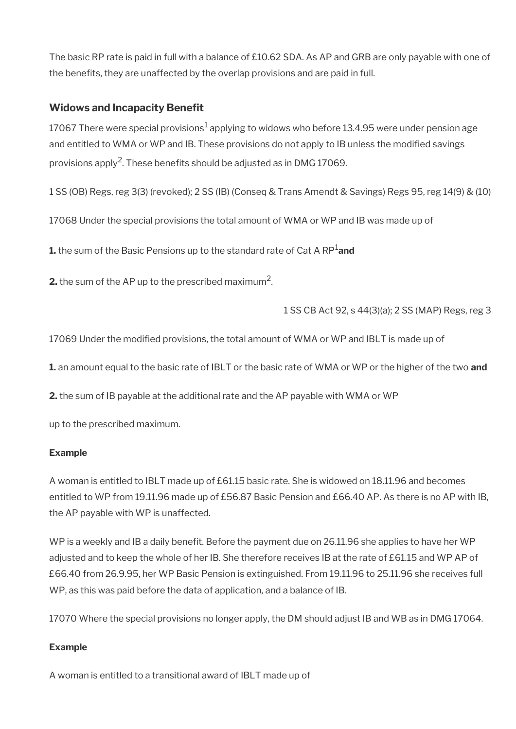The basic RP rate is paid in full with a balance of £10.62 SDA. As AP and GRB are only payable with one of the benefts, they are unaffected by the overlap provisions and are paid in full.

#### **Widows and Incapacity Benefit**

17067 There were special provisions $^1$  applying to widows who before 13.4.95 were under pension age and entitled to WMA or WP and IB. These provisions do not apply to IB unless the modifed savings provisions apply<sup>2</sup>. These benefits should be adjusted as in DMG 17069.

1 SS (OB) Regs, reg 3(3) (revoked); 2 SS (IB) (Conseq & Trans Amendt & Savings) Regs 95, reg 14(9) & (10)

17068 Under the special provisions the total amount of WMA or WP and IB was made up of

**1.** the sum of the Basic Pensions up to the standard rate of Cat A RP1**and**

**2.** the sum of the AP up to the prescribed maximum<sup>2</sup>.

1 SS CB Act 92, s 44(3)(a); 2 SS (MAP) Regs, reg 3

17069 Under the modifed provisions, the total amount of WMA or WP and IBLT is made up of

**1.** an amount equal to the basic rate of IBLT or the basic rate of WMA or WP or the higher of the two **and**

**2.** the sum of IB payable at the additional rate and the AP payable with WMA or WP

up to the prescribed maximum.

#### **Example**

A woman is entitled to IBLT made up of £61.15 basic rate. She is widowed on 18.11.96 and becomes entitled to WP from 19.11.96 made up of £56.87 Basic Pension and £66.40 AP. As there is no AP with IB, the AP payable with WP is unaffected.

WP is a weekly and IB a daily benefit. Before the payment due on 26.11.96 she applies to have her WP adjusted and to keep the whole of her IB. She therefore receives IB at the rate of £61.15 and WP AP of £66.40 from 26.9.95, her WP Basic Pension is extinguished. From 19.11.96 to 25.11.96 she receives full WP, as this was paid before the data of application, and a balance of IB.

17070 Where the special provisions no longer apply, the DM should adjust IB and WB as in DMG 17064.

#### **Example**

A woman is entitled to a transitional award of IBLT made up of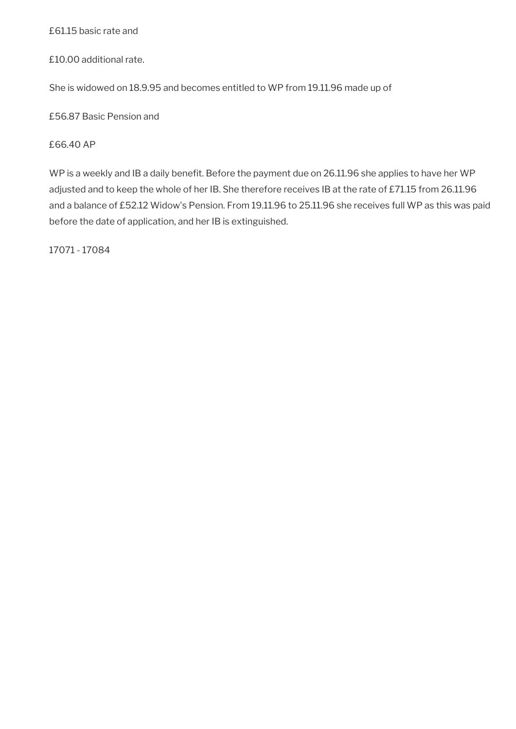£61.15 basic rate and

£10.00 additional rate.

She is widowed on 18.9.95 and becomes entitled to WP from 19.11.96 made up of

£56.87 Basic Pension and

£66.40 AP

WP is a weekly and IB a daily benefit. Before the payment due on 26.11.96 she applies to have her WP adjusted and to keep the whole of her IB. She therefore receives IB at the rate of £71.15 from 26.11.96 and a balance of £52.12 Widow's Pension. From 19.11.96 to 25.11.96 she receives full WP as this was paid before the date of application, and her IB is extinguished.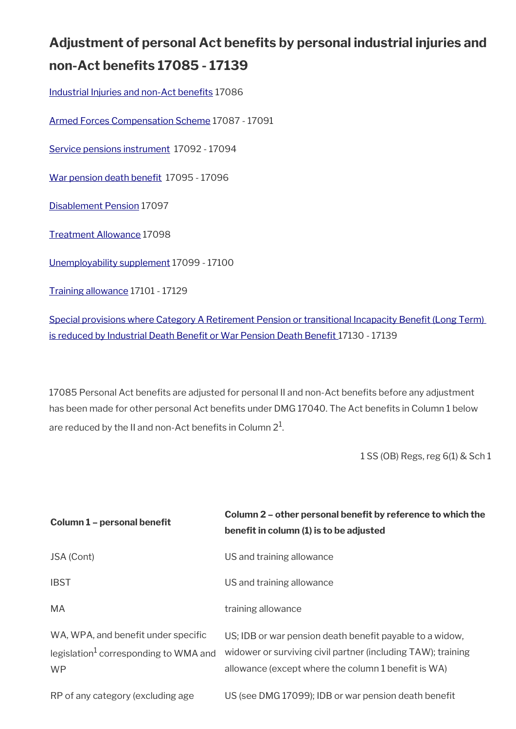# **Adjustment of personal Act benefts by personal industrial injuries and non-Act benefts 17085 - 17139**

Industrial Injuries and non-Act benefits 17086

[Armed Forces Compensation Scheme](#page-11-1) 17087 - 17091

[Service pensions instrument](#page-11-0) 17092 - 17094

War pension death benefit 17095 - 17096

[Disablement Pension](#page-12-0) 17097

[Treatment Allowance](#page-13-2) 17098

[Unemployability supplement](#page-13-1) 17099 - 17100

[Training allowance](#page-13-0) 17101 - 17129

Special provisions where Category A Retirement Pension or transitional Incapacity Benefit (Long Term) is reduced by Industrial Death Benefit or War Pension Death Benefit 17130 - 17139

17085 Personal Act benefits are adjusted for personal II and non-Act benefits before any adjustment has been made for other personal Act benefits under DMG 17040. The Act benefits in Column 1 below are reduced by the II and non-Act benefits in Column  $2^{\rm 1}$ .

1 SS (OB) Regs, reg 6(1) & Sch 1

| Column 1 - personal benefit                                                                           | Column 2 - other personal benefit by reference to which the<br>benefit in column (1) is to be adjusted                                                                          |
|-------------------------------------------------------------------------------------------------------|---------------------------------------------------------------------------------------------------------------------------------------------------------------------------------|
| JSA (Cont)                                                                                            | US and training allowance                                                                                                                                                       |
| <b>IBST</b>                                                                                           | US and training allowance                                                                                                                                                       |
| <b>MA</b>                                                                                             | training allowance                                                                                                                                                              |
| WA, WPA, and benefit under specific<br>legislation <sup>1</sup> corresponding to WMA and<br><b>WP</b> | US; IDB or war pension death benefit payable to a widow,<br>widower or surviving civil partner (including TAW); training<br>allowance (except where the column 1 benefit is WA) |
| RP of any category (excluding age                                                                     | US (see DMG 17099); IDB or war pension death benefit                                                                                                                            |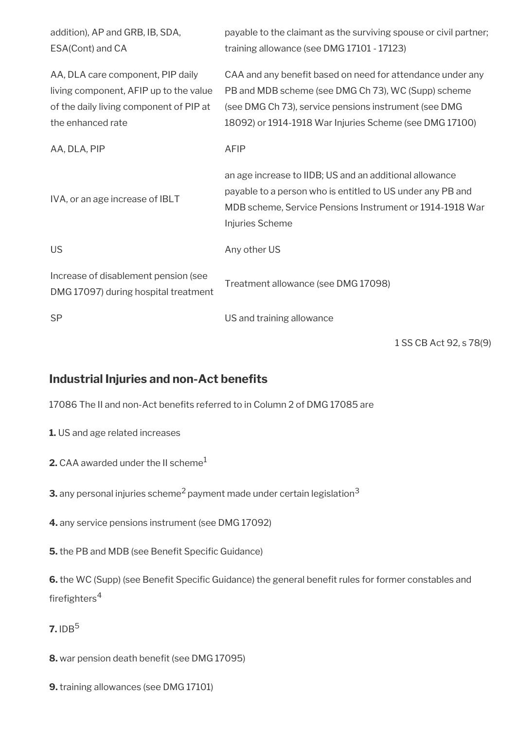| addition), AP and GRB, IB, SDA,<br>ESA(Cont) and CA                                                                                         | payable to the claimant as the surviving spouse or civil partner;<br>training allowance (see DMG 17101 - 17123)                                                                                                                       |
|---------------------------------------------------------------------------------------------------------------------------------------------|---------------------------------------------------------------------------------------------------------------------------------------------------------------------------------------------------------------------------------------|
| AA, DLA care component, PIP daily<br>living component, AFIP up to the value<br>of the daily living component of PIP at<br>the enhanced rate | CAA and any benefit based on need for attendance under any<br>PB and MDB scheme (see DMG Ch 73), WC (Supp) scheme<br>(see DMG Ch 73), service pensions instrument (see DMG<br>18092) or 1914-1918 War Injuries Scheme (see DMG 17100) |
| AA, DLA, PIP                                                                                                                                | <b>AFIP</b>                                                                                                                                                                                                                           |
| IVA, or an age increase of IBLT                                                                                                             | an age increase to IIDB; US and an additional allowance<br>payable to a person who is entitled to US under any PB and<br>MDB scheme, Service Pensions Instrument or 1914-1918 War<br>Injuries Scheme                                  |
| US                                                                                                                                          | Any other US                                                                                                                                                                                                                          |
| Increase of disablement pension (see<br>DMG 17097) during hospital treatment                                                                | Treatment allowance (see DMG 17098)                                                                                                                                                                                                   |
| <b>SP</b>                                                                                                                                   | US and training allowance                                                                                                                                                                                                             |

1 SS CB Act 92, s 78(9)

### <span id="page-10-0"></span>**Industrial Injuries and non-Act benefts**

17086 The II and non-Act benefits referred to in Column 2 of DMG 17085 are

- **1.** US and age related increases
- **2.** CAA awarded under the II scheme $<sup>1</sup>$ </sup>
- **3.** any personal injuries scheme<sup>2</sup> payment made under certain legislation<sup>3</sup>
- **4.** any service pensions instrument (see DMG 17092)
- **5.** the PB and MDB (see Benefit Specific Guidance)

6. the WC (Supp) (see Benefit Specific Guidance) the general benefit rules for former constables and  $firefighters<sup>4</sup>$ 

#### $7.1DB<sup>5</sup>$

**8.** war pension death benefit (see DMG 17095)

**9.** training allowances (see DMG 17101)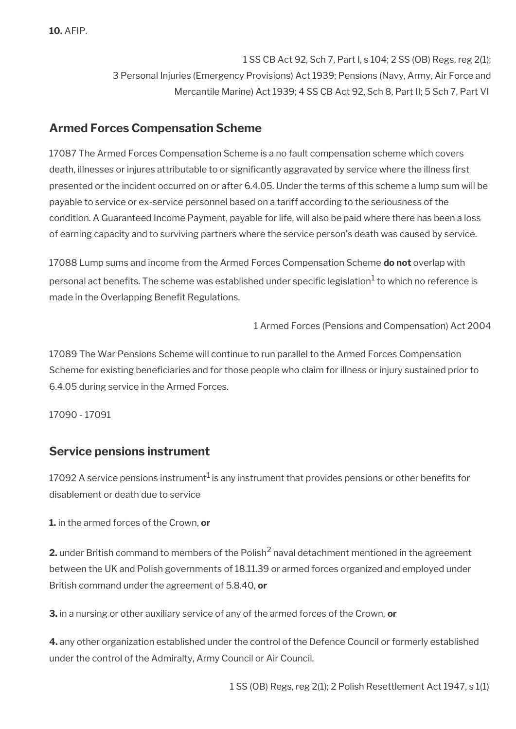**10.** AFIP.

1 SS CB Act 92, Sch 7, Part I, s 104; 2 SS (OB) Regs, reg 2(1); 3 Personal Injuries (Emergency Provisions) Act 1939; Pensions (Navy, Army, Air Force and Mercantile Marine) Act 1939; 4 SS CB Act 92, Sch 8, Part II; 5 Sch 7, Part VI

### <span id="page-11-1"></span>**Armed Forces Compensation Scheme**

17087 The Armed Forces Compensation Scheme is a no fault compensation scheme which covers death, illnesses or injures attributable to or significantly aggravated by service where the illness first presented or the incident occurred on or after 6.4.05. Under the terms of this scheme a lump sum will be payable to service or ex-service personnel based on a tariff according to the seriousness of the condition. A Guaranteed Income Payment, payable for life, will also be paid where there has been a loss of earning capacity and to surviving partners where the service person's death was caused by service.

17088 Lump sums and income from the Armed Forces Compensation Scheme **do not** overlap with personal act benefits. The scheme was established under specific legislation $^1$  to which no reference is made in the Overlapping Benefit Regulations.

1 Armed Forces (Pensions and Compensation) Act 2004

17089 The War Pensions Scheme will continue to run parallel to the Armed Forces Compensation Scheme for existing beneficiaries and for those people who claim for illness or injury sustained prior to 6.4.05 during service in the Armed Forces.

17090 - 17091

### <span id="page-11-0"></span>**Service pensions instrument**

17092 A service pensions instrument<sup>1</sup> is any instrument that provides pensions or other benefits for disablement or death due to service

**1.** in the armed forces of the Crown, **or**

**2.** under British command to members of the Polish $^2$  naval detachment mentioned in the agreement between the UK and Polish governments of 18.11.39 or armed forces organized and employed under British command under the agreement of 5.8.40, **or**

**3.** in a nursing or other auxiliary service of any of the armed forces of the Crown, **or**

**4.** any other organization established under the control of the Defence Council or formerly established under the control of the Admiralty, Army Council or Air Council.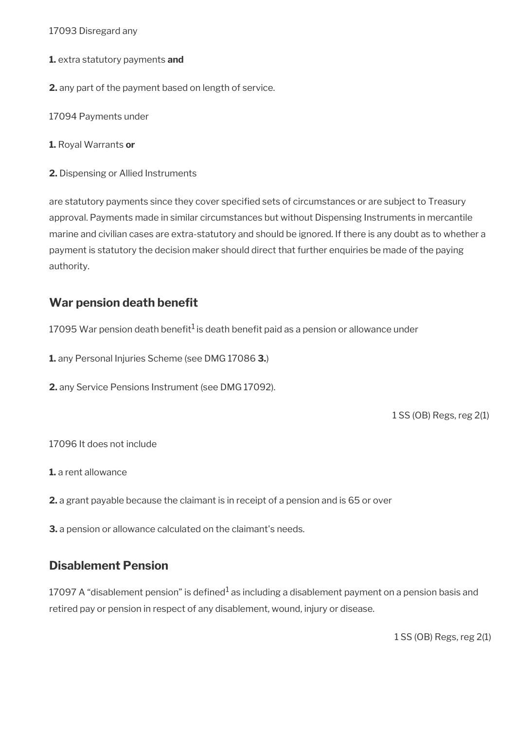17093 Disregard any

- **1.** extra statutory payments **and**
- **2.** any part of the payment based on length of service.
- 17094 Payments under
- **1.** Royal Warrants **or**
- **2.** Dispensing or Allied Instruments

are statutory payments since they cover specifed sets of circumstances or are subject to Treasury approval. Payments made in similar circumstances but without Dispensing Instruments in mercantile marine and civilian cases are extra-statutory and should be ignored. If there is any doubt as to whether a payment is statutory the decision maker should direct that further enquiries be made of the paying authority.

### <span id="page-12-1"></span>**War pension death benefit**

17095 War pension death benefit<sup>1</sup> is death benefit paid as a pension or allowance under

**1.** any Personal Injuries Scheme (see DMG 17086 **3.**)

**2.** any Service Pensions Instrument (see DMG 17092).

1 SS (OB) Regs, reg 2(1)

17096 It does not include

**1.** a rent allowance

**2.** a grant payable because the claimant is in receipt of a pension and is 65 or over

**3.** a pension or allowance calculated on the claimant's needs.

### <span id="page-12-0"></span>**Disablement Pension**

17097 A "disablement pension" is defined $^1$  as including a disablement payment on a pension basis and retired pay or pension in respect of any disablement, wound, injury or disease.

1 SS (OB) Regs, reg 2(1)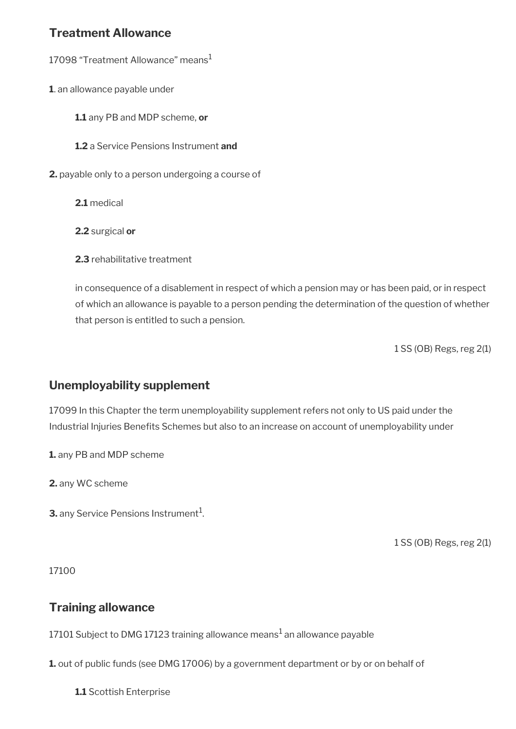### <span id="page-13-2"></span>**Treatment Allowance**

17098 "Treatment Allowance" means<sup>1</sup>

**1**. an allowance payable under

**1.1** any PB and MDP scheme, **or**

- **1.2** a Service Pensions Instrument **and**
- **2.** payable only to a person undergoing a course of

**2.1** medical

**2.2** surgical **or**

**2.3** rehabilitative treatment

in consequence of a disablement in respect of which a pension may or has been paid, or in respect of which an allowance is payable to a person pending the determination of the question of whether that person is entitled to such a pension.

1 SS (OB) Regs, reg 2(1)

#### <span id="page-13-1"></span>**Unemployability supplement**

17099 In this Chapter the term unemployability supplement refers not only to US paid under the Industrial Injuries Benefits Schemes but also to an increase on account of unemployability under

**1.** any PB and MDP scheme

**2.** any WC scheme

 ${\bf 3}.$  any Service Pensions Instrument $^1$ .

1 SS (OB) Regs, reg 2(1)

17100

#### <span id="page-13-0"></span>**Training allowance**

17101 Subject to DMG 17123 training allowance means $^{\rm 1}$  an allowance payable

**1.** out of public funds (see DMG 17006) by a government department or by or on behalf of

**1.1** Scottish Enterprise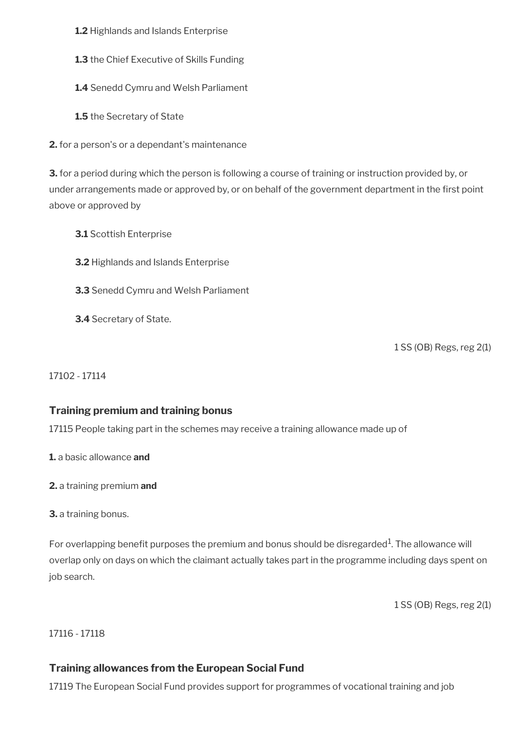**1.2** Highlands and Islands Enterprise

**1.3** the Chief Executive of Skills Funding

**1.4** Senedd Cymru and Welsh Parliament

**1.5** the Secretary of State

**2.** for a person's or a dependant's maintenance

**3.** for a period during which the person is following a course of training or instruction provided by, or under arrangements made or approved by, or on behalf of the government department in the frst point above or approved by

**3.1** Scottish Enterprise

**3.2** Highlands and Islands Enterprise

**3.3** Senedd Cymru and Welsh Parliament

**3.4** Secretary of State.

1 SS (OB) Regs, reg 2(1)

17102 - 17114

#### **Training premium and training bonus**

17115 People taking part in the schemes may receive a training allowance made up of

**1.** a basic allowance **and**

**2.** a training premium **and**

**3.** a training bonus.

For overlapping benefit purposes the premium and bonus should be disregarded $^1$ . The allowance will overlap only on days on which the claimant actually takes part in the programme including days spent on job search.

1 SS (OB) Regs, reg 2(1)

17116 - 17118

#### **Training allowances from the European Social Fund**

17119 The European Social Fund provides support for programmes of vocational training and job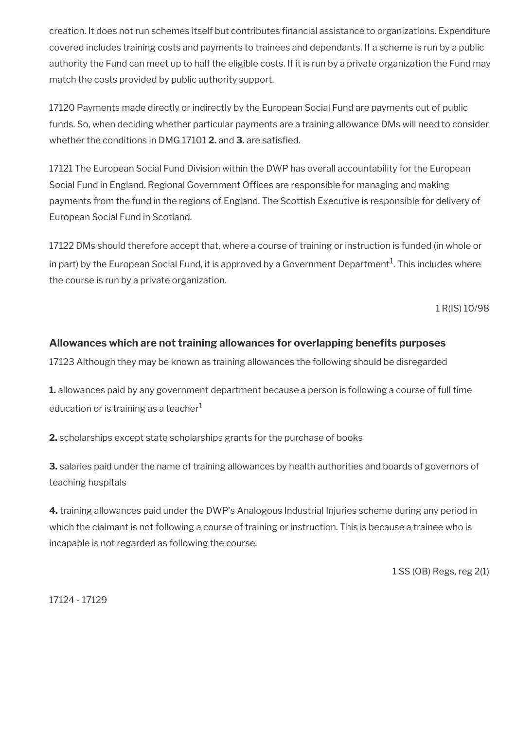creation. It does not run schemes itself but contributes fnancial assistance to organizations. Expenditure covered includes training costs and payments to trainees and dependants. If a scheme is run by a public authority the Fund can meet up to half the eligible costs. If it is run by a private organization the Fund may match the costs provided by public authority support.

17120 Payments made directly or indirectly by the European Social Fund are payments out of public funds. So, when deciding whether particular payments are a training allowance DMs will need to consider whether the conditions in DMG 17101 **2.** and **3.** are satisfed.

17121 The European Social Fund Division within the DWP has overall accountability for the European Social Fund in England. Regional Government Offices are responsible for managing and making payments from the fund in the regions of England. The Scottish Executive is responsible for delivery of European Social Fund in Scotland.

17122 DMs should therefore accept that, where a course of training or instruction is funded (in whole or in part) by the European Social Fund, it is approved by a Government Department $^1$ . This includes where the course is run by a private organization.

1 R(IS) 10/98

#### **Allowances which are not training allowances for overlapping benefts purposes**

17123 Although they may be known as training allowances the following should be disregarded

**1.** allowances paid by any government department because a person is following a course of full time education or is training as a teacher<sup>1</sup>

**2.** scholarships except state scholarships grants for the purchase of books

**3.** salaries paid under the name of training allowances by health authorities and boards of governors of teaching hospitals

**4.** training allowances paid under the DWP's Analogous Industrial Injuries scheme during any period in which the claimant is not following a course of training or instruction. This is because a trainee who is incapable is not regarded as following the course.

1 SS (OB) Regs, reg 2(1)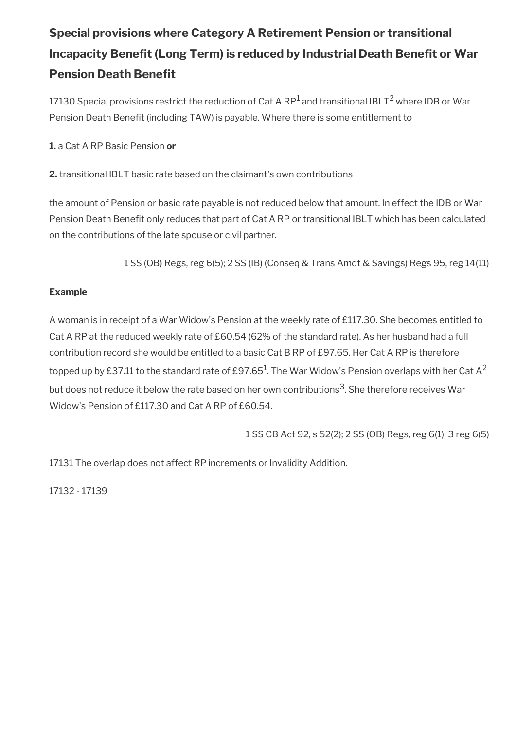# <span id="page-16-0"></span>**Special provisions where Category A Retirement Pension or transitional Incapacity Benefit (Long Term) is reduced by Industrial Death Benefit or War Pension Death Benefit**

17130 Special provisions restrict the reduction of Cat A RP $^{\rm 1}$  and transitional IBLT $^{\rm 2}$  where IDB or War Pension Death Benefit (including TAW) is payable. Where there is some entitlement to

**1.** a Cat A RP Basic Pension **or** 

**2.** transitional IBLT basic rate based on the claimant's own contributions

the amount of Pension or basic rate payable is not reduced below that amount. In effect the IDB or War Pension Death Benefit only reduces that part of Cat A RP or transitional IBLT which has been calculated on the contributions of the late spouse or civil partner.

1 SS (OB) Regs, reg 6(5); 2 SS (IB) (Conseq & Trans Amdt & Savings) Regs 95, reg 14(11)

#### **Example**

A woman is in receipt of a War Widow's Pension at the weekly rate of £117.30. She becomes entitled to Cat A RP at the reduced weekly rate of £60.54 (62% of the standard rate). As her husband had a full contribution record she would be entitled to a basic Cat B RP of £97.65. Her Cat A RP is therefore topped up by £37.11 to the standard rate of £97.65<sup>1</sup>. The War Widow's Pension overlaps with her Cat A<sup>2</sup> but does not reduce it below the rate based on her own contributions $^3$ . She therefore receives War Widow's Pension of £117.30 and Cat A RP of £60.54.

1 SS CB Act 92, s 52(2); 2 SS (OB) Regs, reg 6(1); 3 reg 6(5)

17131 The overlap does not affect RP increments or Invalidity Addition.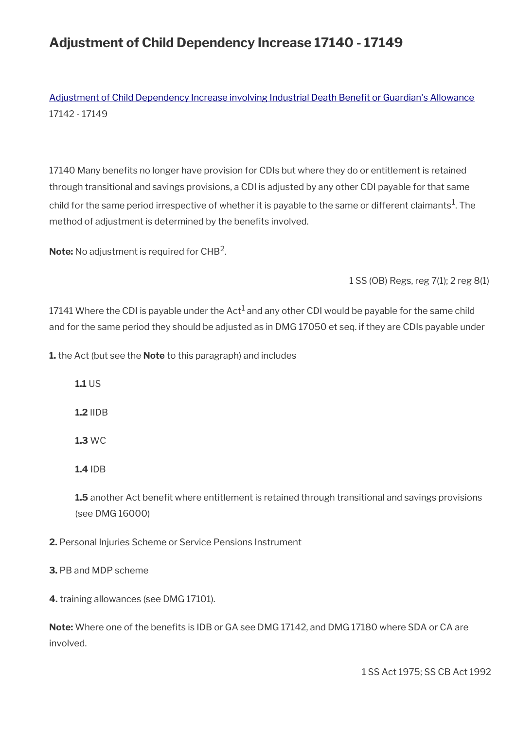# **Adjustment of Child Dependency Increase 17140 - 17149**

Adjustment of Child Dependency Increase involving Industrial Death Benefit or Guardian's Allowance 17142 - 17149

17140 Many benefits no longer have provision for CDIs but where they do or entitlement is retained through transitional and savings provisions, a CDI is adjusted by any other CDI payable for that same child for the same period irrespective of whether it is payable to the same or different claimants $^{\rm 1}$ . The method of adjustment is determined by the benefits involved.

**Note:** No adjustment is required for CHB<sup>2</sup>.

1 SS (OB) Regs, reg 7(1); 2 reg 8(1)

17141 Where the CDI is payable under the Act $^1$  and any other CDI would be payable for the same child and for the same period they should be adjusted as in DMG 17050 et seq. if they are CDIs payable under

**1.** the Act (but see the **Note** to this paragraph) and includes

**1.1** US

**1.2** IIDB

**1.3** WC

**1.4** IDB

**1.5** another Act benefit where entitlement is retained through transitional and savings provisions (see DMG 16000)

**2.** Personal Injuries Scheme or Service Pensions Instrument

#### **3.** PB and MDP scheme

**4.** training allowances (see DMG 17101).

**Note:** Where one of the benefits is IDB or GA see DMG 17142, and DMG 17180 where SDA or CA are involved.

1 SS Act 1975; SS CB Act 1992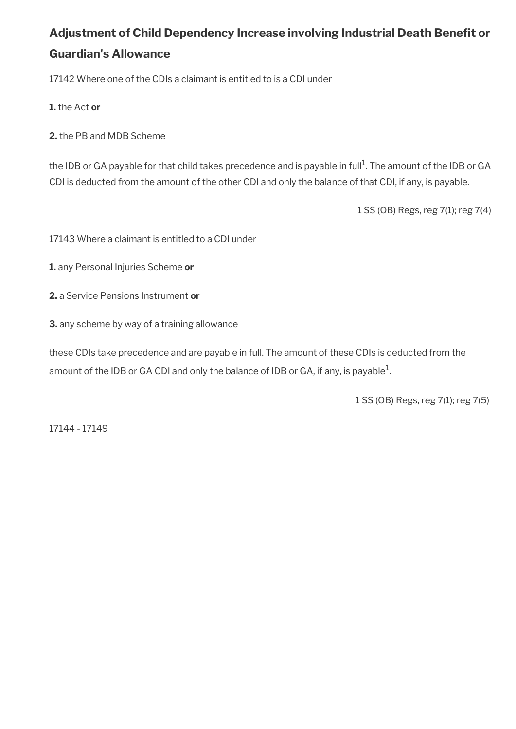# <span id="page-18-0"></span>**Adjustment of Child Dependency Increase involving Industrial Death Beneft or Guardian's Allowance**

17142 Where one of the CDIs a claimant is entitled to is a CDI under

**1.** the Act **or**

**2.** the PB and MDB Scheme

the IDB or GA payable for that child takes precedence and is payable in full $^1$ . The amount of the IDB or GA CDI is deducted from the amount of the other CDI and only the balance of that CDI, if any, is payable.

1 SS (OB) Regs, reg 7(1); reg 7(4)

17143 Where a claimant is entitled to a CDI under

**1.** any Personal Injuries Scheme **or**

**2.** a Service Pensions Instrument **or**

**3.** any scheme by way of a training allowance

these CDIs take precedence and are payable in full. The amount of these CDIs is deducted from the amount of the IDB or GA CDI and only the balance of IDB or GA, if any, is payable $^1\!$ 

1 SS (OB) Regs, reg 7(1); reg 7(5)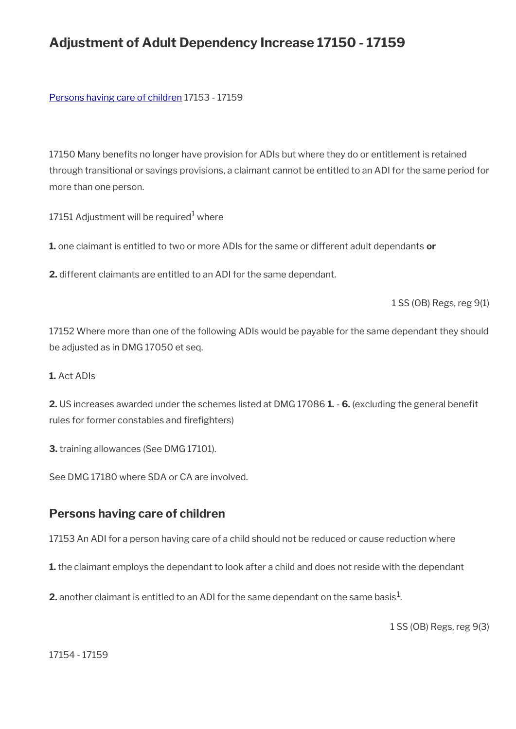# **Adjustment of Adult Dependency Increase 17150 - 17159**

[Persons having care of children](#page-19-0) 17153 - 17159

17150 Many benefts no longer have provision for ADIs but where they do or entitlement is retained through transitional or savings provisions, a claimant cannot be entitled to an ADI for the same period for more than one person.

17151 Adjustment will be required $^{\rm 1}$  where

**1.** one claimant is entitled to two or more ADIs for the same or different adult dependants **or**

**2.** different claimants are entitled to an ADI for the same dependant.

1 SS (OB) Regs, reg 9(1)

17152 Where more than one of the following ADIs would be payable for the same dependant they should be adjusted as in DMG 17050 et seq.

#### **1.** Act ADIs

**2.** US increases awarded under the schemes listed at DMG 17086 **1.** - **6.** (excluding the general beneft rules for former constables and firefighters)

**3.** training allowances (See DMG 17101).

See DMG 17180 where SDA or CA are involved.

#### <span id="page-19-0"></span>**Persons having care of children**

17153 An ADI for a person having care of a child should not be reduced or cause reduction where

**1.** the claimant employs the dependant to look after a child and does not reside with the dependant

**2.** another claimant is entitled to an ADI for the same dependant on the same basis $^1$ .

1 SS (OB) Regs, reg 9(3)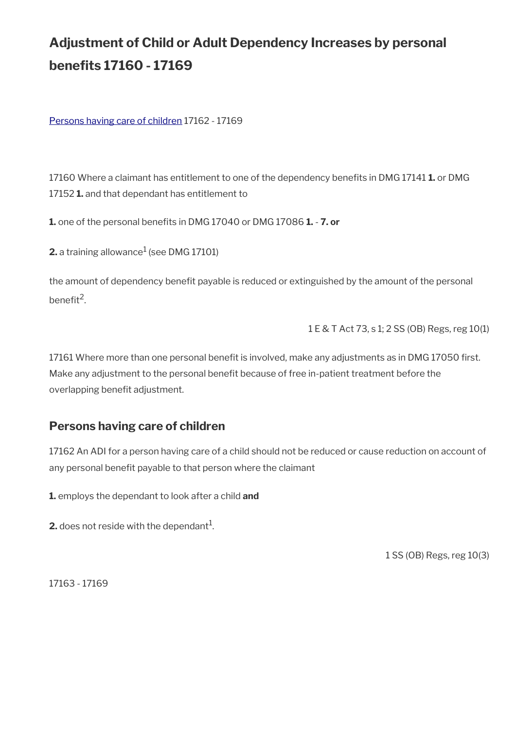# **Adjustment of Child or Adult Dependency Increases by personal benefts 17160 - 17169**

#### [Persons having care of children](#page-19-0) 17162 - 17169

17160 Where a claimant has entitlement to one of the dependency benefts in DMG 17141 **1.** or DMG 17152 **1.** and that dependant has entitlement to

**1.** one of the personal benefts in DMG 17040 or DMG 17086 **1.** - **7. or**

 $\mathsf{2.\,a}$  training allowance $^1$  (see DMG 17101)

the amount of dependency benefit payable is reduced or extinguished by the amount of the personal benefit<sup>2</sup>.

1 E & T Act 73, s 1; 2 SS (OB) Regs, reg 10(1)

17161 Where more than one personal benefit is involved, make any adjustments as in DMG 17050 first. Make any adjustment to the personal benefit because of free in-patient treatment before the overlapping benefit adjustment.

#### **Persons having care of children**

17162 An ADI for a person having care of a child should not be reduced or cause reduction on account of any personal benefit payable to that person where the claimant

**1.** employs the dependant to look after a child **and**

**2.** does not reside with the dependant $^1$ .

1 SS (OB) Regs, reg 10(3)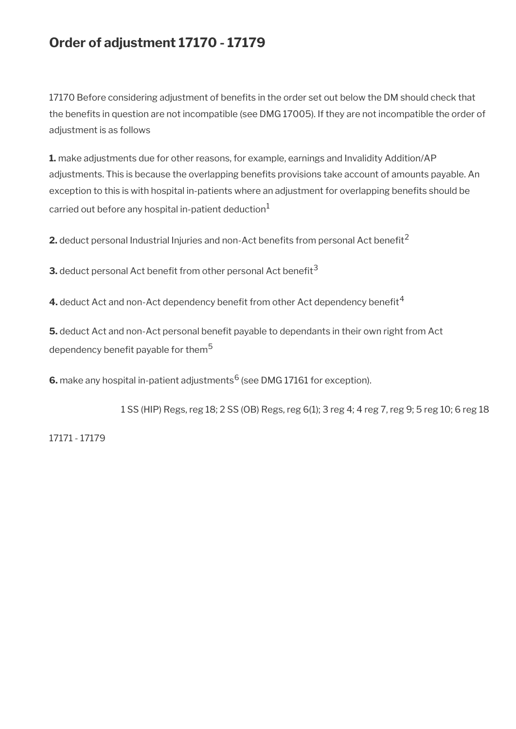# **Order of adjustment 17170 - 17179**

17170 Before considering adjustment of benefits in the order set out below the DM should check that the benefts in question are not incompatible (see DMG 17005). If they are not incompatible the order of adjustment is as follows

**1.** make adjustments due for other reasons, for example, earnings and Invalidity Addition/AP adjustments. This is because the overlapping benefits provisions take account of amounts payable. An exception to this is with hospital in-patients where an adjustment for overlapping benefits should be carried out before any hospital in-patient deduction $1$ 

**2.** deduct personal Industrial Injuries and non-Act benefits from personal Act benefit<sup>2</sup>

**3.** deduct personal Act benefit from other personal Act benefit<sup>3</sup>

**4.** deduct Act and non-Act dependency benefit from other Act dependency benefit<sup>4</sup>

**5.** deduct Act and non-Act personal benefit payable to dependants in their own right from Act dependency benefit payable for them<sup>5</sup>

 $\bm{6}.$  make any hospital in-patient adjustments $^6$  (see DMG 17161 for exception).

1 SS (HIP) Regs, reg 18; 2 SS (OB) Regs, reg 6(1); 3 reg 4; 4 reg 7, reg 9; 5 reg 10; 6 reg 18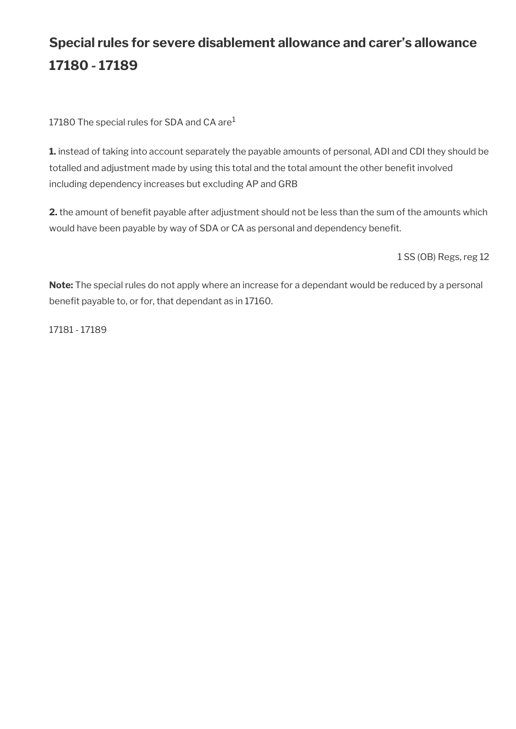# **Special rules for severe disablement allowance and carer's allowance 17180 - 17189**

17180 The special rules for SDA and CA are $^1$ 

**1.** instead of taking into account separately the payable amounts of personal, ADI and CDI they should be totalled and adjustment made by using this total and the total amount the other beneft involved including dependency increases but excluding AP and GRB

2. the amount of benefit payable after adjustment should not be less than the sum of the amounts which would have been payable by way of SDA or CA as personal and dependency beneft.

1 SS (OB) Regs, reg 12

**Note:** The special rules do not apply where an increase for a dependant would be reduced by a personal benefit payable to, or for, that dependant as in 17160.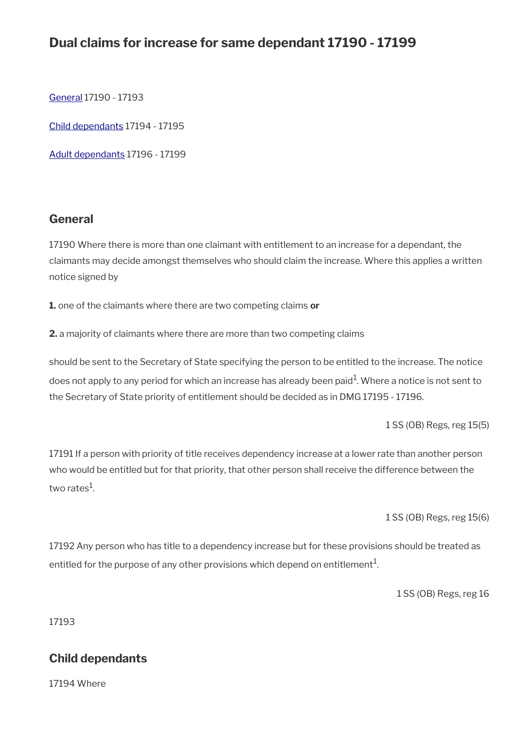# **Dual claims for increase for same dependant 17190 - 17199**

[General](#page-23-1) 17190 - 17193

[Child dependants](#page-23-0) 17194 - 17195

[Adult dependants](#page-24-0) 17196 - 17199

#### <span id="page-23-1"></span>**General**

17190 Where there is more than one claimant with entitlement to an increase for a dependant, the claimants may decide amongst themselves who should claim the increase. Where this applies a written notice signed by

**1.** one of the claimants where there are two competing claims **or**

**2.** a majority of claimants where there are more than two competing claims

should be sent to the Secretary of State specifying the person to be entitled to the increase. The notice does not apply to any period for which an increase has already been paid $^1$ . Where a notice is not sent to the Secretary of State priority of entitlement should be decided as in DMG 17195 - 17196.

1 SS (OB) Regs, reg 15(5)

17191 If a person with priority of title receives dependency increase at a lower rate than another person who would be entitled but for that priority, that other person shall receive the difference between the two rates $^{\rm 1}$ .

1 SS (OB) Regs, reg 15(6)

17192 Any person who has title to a dependency increase but for these provisions should be treated as entitled for the purpose of any other provisions which depend on entitlement $^{\mathrm{1}}$ .

1 SS (OB) Regs, reg 16

17193

### <span id="page-23-0"></span>**Child dependants**

17194 Where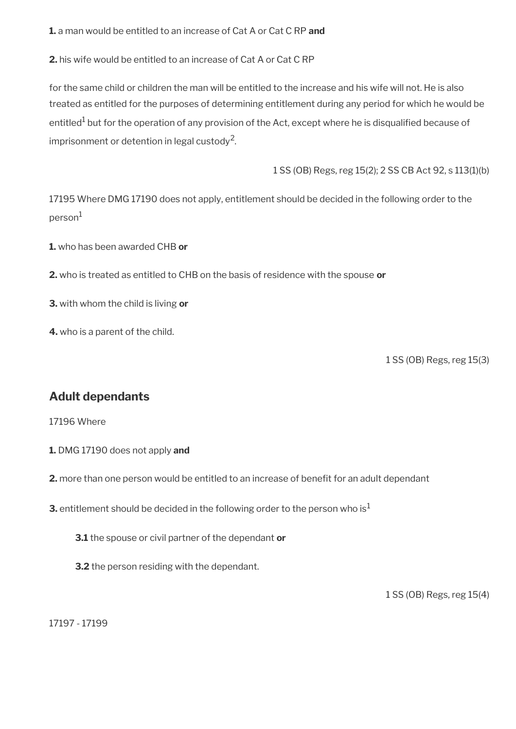**1.** a man would be entitled to an increase of Cat A or Cat C RP **and**

**2.** his wife would be entitled to an increase of Cat A or Cat C RP

for the same child or children the man will be entitled to the increase and his wife will not. He is also treated as entitled for the purposes of determining entitlement during any period for which he would be entitled<sup>1</sup> but for the operation of any provision of the Act, except where he is disqualified because of imprisonment or detention in legal custody $^2$ .

1 SS (OB) Regs, reg 15(2); 2 SS CB Act 92, s 113(1)(b)

17195 Where DMG 17190 does not apply, entitlement should be decided in the following order to the person<sup>1</sup>

**1.** who has been awarded CHB **or**

- **2.** who is treated as entitled to CHB on the basis of residence with the spouse **or**
- **3.** with whom the child is living **or**
- **4.** who is a parent of the child.

1 SS (OB) Regs, reg 15(3)

### <span id="page-24-0"></span>**Adult dependants**

17196 Where

- **1.** DMG 17190 does not apply **and**
- **2.** more than one person would be entitled to an increase of benefit for an adult dependant
- **3.** entitlement should be decided in the following order to the person who is<sup>1</sup>
	- **3.1** the spouse or civil partner of the dependant **or**
	- **3.2** the person residing with the dependant.

1 SS (OB) Regs, reg 15(4)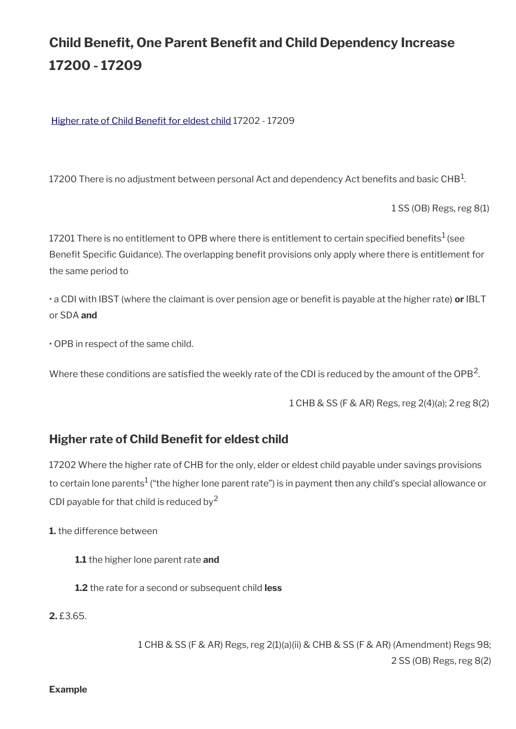# **Child Beneft, One Parent Beneft and Child Dependency Increase 17200 - 17209**

Higher rate of Child Benefit for eldest child 17202 - 17209

17200 There is no adjustment between personal Act and dependency Act benefits and basic CHB $^{\rm 1}$ .

1 SS (OB) Regs, reg 8(1)

17201 There is no entitlement to OPB where there is entitlement to certain specified benefits<sup>1</sup> (see Benefit Specific Guidance). The overlapping benefit provisions only apply where there is entitlement for the same period to

• a CDI with IBST (where the claimant is over pension age or beneft is payable at the higher rate) **or** IBLT or SDA **and**

• OPB in respect of the same child.

Where these conditions are satisfied the weekly rate of the CDI is reduced by the amount of the OPB<sup>2</sup>.

1 CHB & SS (F & AR) Regs, reg 2(4)(a); 2 reg 8(2)

#### <span id="page-25-0"></span>**Higher rate of Child Benefit for eldest child**

17202 Where the higher rate of CHB for the only, elder or eldest child payable under savings provisions to certain lone parents $^1$  ("the higher lone parent rate") is in payment then any child's special allowance or CDI payable for that child is reduced by  $2$ 

**1.** the difference between

**1.1** the higher lone parent rate **and**

**1.2** the rate for a second or subsequent child **less**

**2.** £3.65.

1 CHB & SS (F & AR) Regs, reg 2(1)(a)(ii) & CHB & SS (F & AR) (Amendment) Regs 98; 2 SS (OB) Regs, reg 8(2)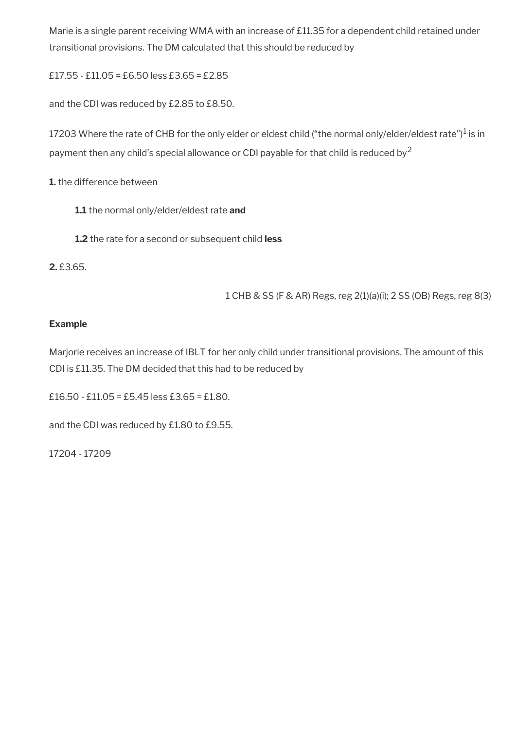Marie is a single parent receiving WMA with an increase of £11.35 for a dependent child retained under transitional provisions. The DM calculated that this should be reduced by

£17.55 - £11.05 = £6.50 less £3.65 = £2.85

and the CDI was reduced by £2.85 to £8.50.

17203 Where the rate of CHB for the only elder or eldest child ("the normal only/elder/eldest rate") $^1$  is in payment then any child's special allowance or CDI payable for that child is reduced by<sup>2</sup>

**1.** the difference between

- **1.1** the normal only/elder/eldest rate **and**
- **1.2** the rate for a second or subsequent child **less**

**2.** £3.65.

1 CHB & SS (F & AR) Regs, reg 2(1)(a)(i); 2 SS (OB) Regs, reg 8(3)

#### **Example**

Marjorie receives an increase of IBLT for her only child under transitional provisions. The amount of this CDI is £11.35. The DM decided that this had to be reduced by

£16.50 - £11.05 = £5.45 less £3.65 = £1.80.

and the CDI was reduced by £1.80 to £9.55.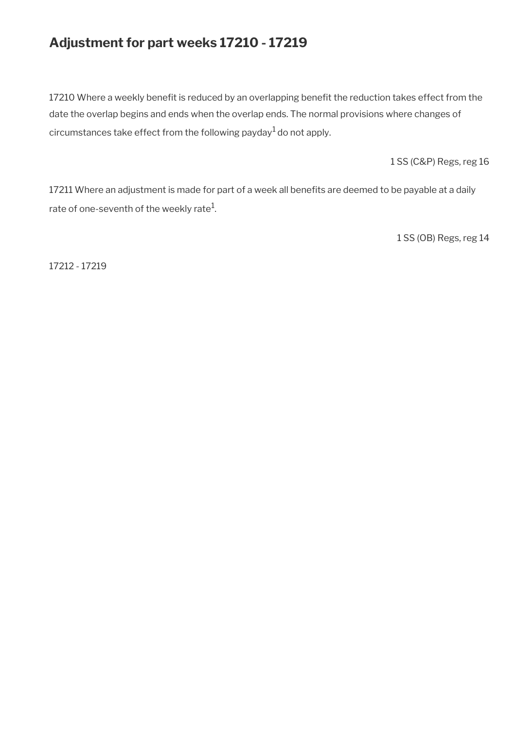# **Adjustment for part weeks 17210 - 17219**

17210 Where a weekly benefit is reduced by an overlapping benefit the reduction takes effect from the date the overlap begins and ends when the overlap ends. The normal provisions where changes of circumstances take effect from the following payday<sup>1</sup> do not apply.

1 SS (C&P) Regs, reg 16

17211 Where an adjustment is made for part of a week all benefits are deemed to be payable at a daily rate of one-seventh of the weekly rate $^{\rm 1}$ .

1 SS (OB) Regs, reg 14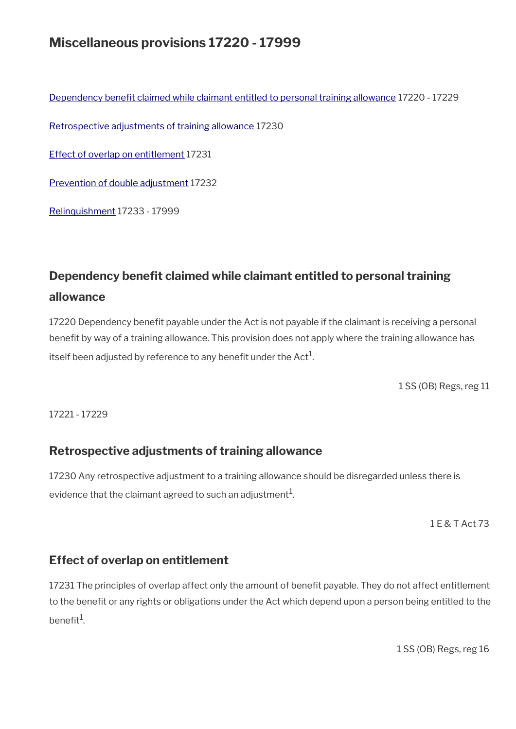# **Miscellaneous provisions 17220 - 17999**

Dependency benefit claimed while claimant entitled to personal training allowance 17220 - 17229

[Retrospective adjustments of training allowance](#page-28-1) 17230

[Effect of overlap on entitlement](#page-28-0) 17231

[Prevention of double adjustment](#page-29-1) 17232

[Relinquishment](#page-29-0) 17233 - 17999

# <span id="page-28-2"></span>**Dependency beneft claimed while claimant entitled to personal training allowance**

17220 Dependency benefit payable under the Act is not payable if the claimant is receiving a personal benefit by way of a training allowance. This provision does not apply where the training allowance has itself been adjusted by reference to any benefit under the Act $^{\rm 1}$ .

1 SS (OB) Regs, reg 11

17221 - 17229

### <span id="page-28-1"></span>**Retrospective adjustments of training allowance**

17230 Any retrospective adjustment to a training allowance should be disregarded unless there is evidence that the claimant agreed to such an adjustment $^{\rm 1}$ .

1 E & T Act 73

### <span id="page-28-0"></span>**Effect of overlap on entitlement**

17231 The principles of overlap affect only the amount of benefit payable. They do not affect entitlement to the benefit or any rights or obligations under the Act which depend upon a person being entitled to the benefit $^1$ .

1 SS (OB) Regs, reg 16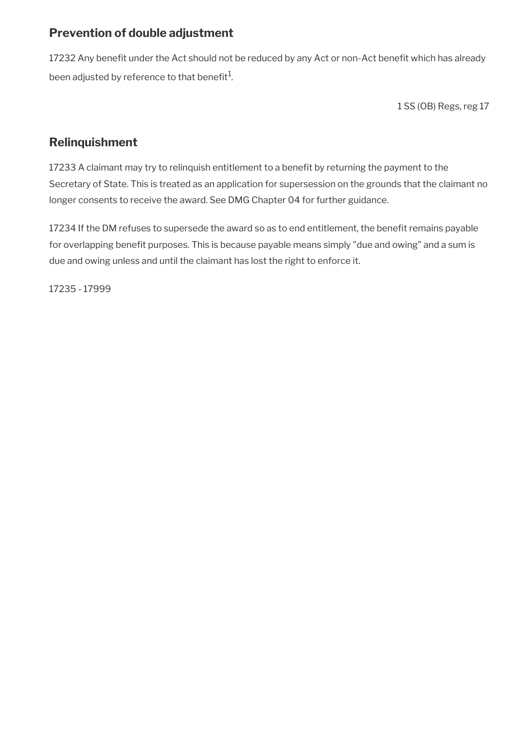## <span id="page-29-1"></span>**Prevention of double adjustment**

17232 Any benefit under the Act should not be reduced by any Act or non-Act benefit which has already been adjusted by reference to that benefit $^1\!\!$ .

1 SS (OB) Regs, reg 17

## <span id="page-29-0"></span>**Relinquishment**

17233 A claimant may try to relinquish entitlement to a benefit by returning the payment to the Secretary of State. This is treated as an application for supersession on the grounds that the claimant no longer consents to receive the award. See DMG Chapter 04 for further guidance.

17234 If the DM refuses to supersede the award so as to end entitlement, the benefit remains payable for overlapping benefit purposes. This is because payable means simply "due and owing" and a sum is due and owing unless and until the claimant has lost the right to enforce it.